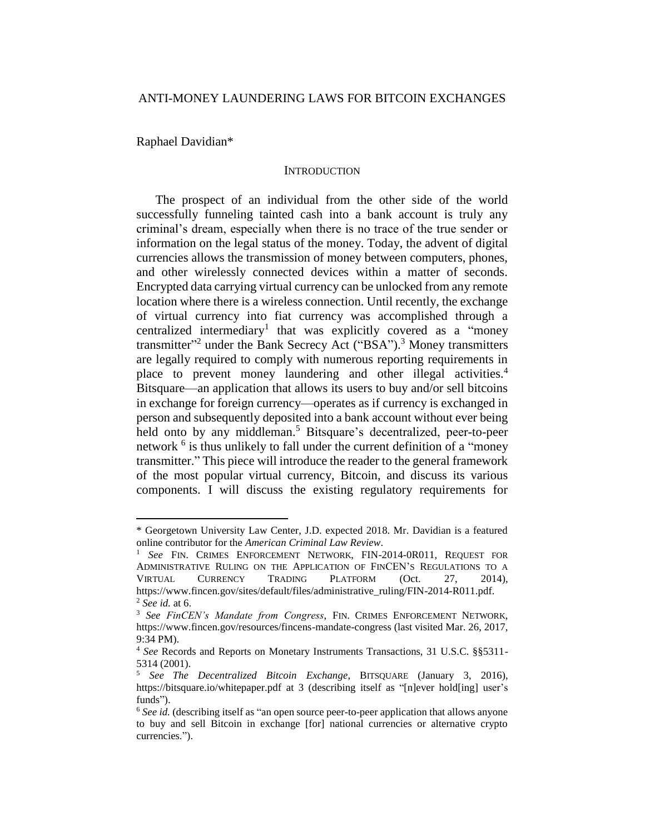Raphael Davidian\*

 $\overline{a}$ 

### **INTRODUCTION**

The prospect of an individual from the other side of the world successfully funneling tainted cash into a bank account is truly any criminal's dream, especially when there is no trace of the true sender or information on the legal status of the money. Today, the advent of digital currencies allows the transmission of money between computers, phones, and other wirelessly connected devices within a matter of seconds. Encrypted data carrying virtual currency can be unlocked from any remote location where there is a wireless connection. Until recently, the exchange of virtual currency into fiat currency was accomplished through a centralized intermediary<sup>1</sup> that was explicitly covered as a "money transmitter"<sup>2</sup> under the Bank Secrecy Act ("BSA").<sup>3</sup> Money transmitters are legally required to comply with numerous reporting requirements in place to prevent money laundering and other illegal activities.<sup>4</sup> Bitsquare—an application that allows its users to buy and/or sell bitcoins in exchange for foreign currency—operates as if currency is exchanged in person and subsequently deposited into a bank account without ever being held onto by any middleman.<sup>5</sup> Bitsquare's decentralized, peer-to-peer network <sup>6</sup> is thus unlikely to fall under the current definition of a "money" transmitter." This piece will introduce the reader to the general framework of the most popular virtual currency, Bitcoin, and discuss its various components. I will discuss the existing regulatory requirements for

<sup>\*</sup> Georgetown University Law Center, J.D. expected 2018. Mr. Davidian is a featured online contributor for the *American Criminal Law Review*.

<sup>1</sup> *See* FIN. CRIMES ENFORCEMENT NETWORK, FIN-2014-0R011, REQUEST FOR ADMINISTRATIVE RULING ON THE APPLICATION OF FINCEN'S REGULATIONS TO A VIRTUAL CURRENCY TRADING PLATFORM (Oct. 27, 2014), https://www.fincen.gov/sites/default/files/administrative\_ruling/FIN-2014-R011.pdf. <sup>2</sup> *See id.* at 6.

<sup>3</sup> *See FinCEN's Mandate from Congress*, FIN. CRIMES ENFORCEMENT NETWORK, https://www.fincen.gov/resources/fincens-mandate-congress (last visited Mar. 26, 2017, 9:34 PM).

<sup>4</sup> *See* Records and Reports on Monetary Instruments Transactions, 31 U.S.C. §§5311- 5314 (2001).

<sup>5</sup> *See The Decentralized Bitcoin Exchange*, BITSQUARE (January 3, 2016), https://bitsquare.io/whitepaper.pdf at 3 (describing itself as "[n]ever hold[ing] user's funds").

<sup>&</sup>lt;sup>6</sup> See id. (describing itself as "an open source peer-to-peer application that allows anyone to buy and sell Bitcoin in exchange [for] national currencies or alternative crypto currencies.").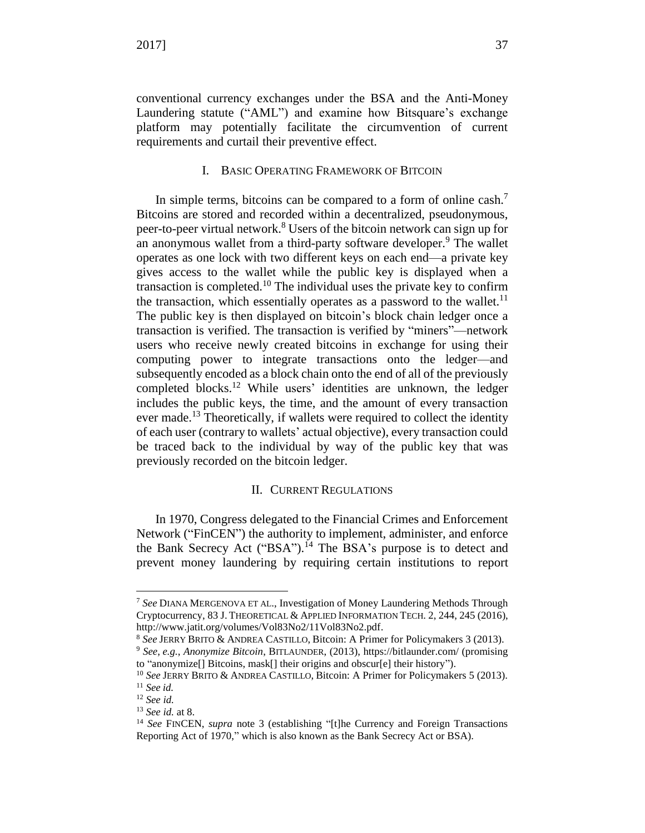conventional currency exchanges under the BSA and the Anti-Money Laundering statute ("AML") and examine how Bitsquare's exchange platform may potentially facilitate the circumvention of current requirements and curtail their preventive effect.

# <span id="page-1-0"></span>I. BASIC OPERATING FRAMEWORK OF BITCOIN

In simple terms, bitcoins can be compared to a form of online cash.<sup>7</sup> Bitcoins are stored and recorded within a decentralized, pseudonymous, peer-to-peer virtual network.<sup>8</sup> Users of the bitcoin network can sign up for an anonymous wallet from a third-party software developer.<sup>9</sup> The wallet operates as one lock with two different keys on each end—a private key gives access to the wallet while the public key is displayed when a transaction is completed.<sup>10</sup> The individual uses the private key to confirm the transaction, which essentially operates as a password to the wallet.<sup>11</sup> The public key is then displayed on bitcoin's block chain ledger once a transaction is verified. The transaction is verified by "miners"—network users who receive newly created bitcoins in exchange for using their computing power to integrate transactions onto the ledger—and subsequently encoded as a block chain onto the end of all of the previously completed blocks.<sup>12</sup> While users' identities are unknown, the ledger includes the public keys, the time, and the amount of every transaction ever made.<sup>13</sup> Theoretically, if wallets were required to collect the identity of each user (contrary to wallets' actual objective), every transaction could be traced back to the individual by way of the public key that was previously recorded on the bitcoin ledger.

### II. CURRENT REGULATIONS

In 1970, Congress delegated to the Financial Crimes and Enforcement Network ("FinCEN") the authority to implement, administer, and enforce the Bank Secrecy Act ("BSA").<sup>14</sup> The BSA's purpose is to detect and prevent money laundering by requiring certain institutions to report

<sup>7</sup> *See* DIANA MERGENOVA ET AL., Investigation of Money Laundering Methods Through Cryptocurrency, 83 J. THEORETICAL & APPLIED INFORMATION TECH. 2, 244, 245 (2016), http://www.jatit.org/volumes/Vol83No2/11Vol83No2.pdf.

<sup>8</sup> *See* JERRY BRITO & ANDREA CASTILLO, Bitcoin: A Primer for Policymakers 3 (2013).

<sup>9</sup> *See*, *e.g.*, *Anonymize Bitcoin*, BITLAUNDER, (2013), https://bitlaunder.com/ (promising to "anonymize[] Bitcoins, mask[] their origins and obscur[e] their history").

<sup>10</sup> *See* JERRY BRITO & ANDREA CASTILLO, Bitcoin: A Primer for Policymakers 5 (2013). <sup>11</sup> *See id.*

<sup>12</sup> *See id.*

<sup>13</sup> *See id.* at 8.

<sup>&</sup>lt;sup>14</sup> See FINCEN, *supra* note 3 (establishing "[t]he Currency and Foreign Transactions Reporting Act of 1970," which is also known as the Bank Secrecy Act or BSA).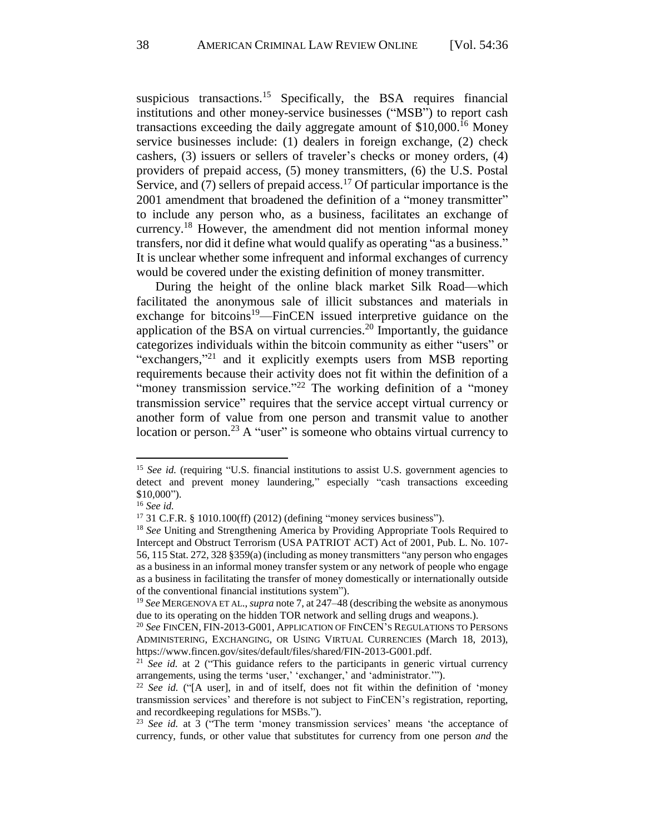suspicious transactions.<sup>15</sup> Specifically, the BSA requires financial institutions and other money-service businesses ("MSB") to report cash transactions exceeding the daily aggregate amount of  $$10,000$ .<sup>16</sup> Money service businesses include: (1) dealers in foreign exchange, (2) check cashers, (3) issuers or sellers of traveler's checks or money orders, (4) providers of prepaid access, (5) money transmitters, (6) the U.S. Postal Service, and  $(7)$  sellers of prepaid access.<sup>17</sup> Of particular importance is the 2001 amendment that broadened the definition of a "money transmitter" to include any person who, as a business, facilitates an exchange of currency.<sup>18</sup> However, the amendment did not mention informal money transfers, nor did it define what would qualify as operating "as a business." It is unclear whether some infrequent and informal exchanges of currency would be covered under the existing definition of money transmitter.

During the height of the online black market Silk Road—which facilitated the anonymous sale of illicit substances and materials in exchange for bitcoins<sup>19</sup>—FinCEN issued interpretive guidance on the application of the BSA on virtual currencies.<sup>20</sup> Importantly, the guidance categorizes individuals within the bitcoin community as either "users" or "exchangers,"<sup>21</sup> and it explicitly exempts users from MSB reporting requirements because their activity does not fit within the definition of a "money transmission service."<sup>22</sup> The working definition of a "money transmission service" requires that the service accept virtual currency or another form of value from one person and transmit value to another location or person.<sup>23</sup> A "user" is someone who obtains virtual currency to

<sup>15</sup> *See id.* (requiring "U.S. financial institutions to assist U.S. government agencies to detect and prevent money laundering," especially "cash transactions exceeding \$10,000").

<sup>16</sup> *See id.*

<sup>17</sup> 31 C.F.R. § 1010.100(ff) (2012) (defining "money services business").

<sup>18</sup> *See* Uniting and Strengthening America by Providing Appropriate Tools Required to Intercept and Obstruct Terrorism (USA PATRIOT ACT) Act of 2001, Pub. L. No. 107- 56, 115 Stat. 272, 328 §359(a) (including as money transmitters "any person who engages as a business in an informal money transfer system or any network of people who engage as a business in facilitating the transfer of money domestically or internationally outside of the conventional financial institutions system").

<sup>19</sup> *See* MERGENOVA ET AL., *supra* note [7,](#page-1-0) at 247–48 (describing the website as anonymous due to its operating on the hidden TOR network and selling drugs and weapons.).

<sup>20</sup> *See* FINCEN, FIN-2013-G001, APPLICATION OF FINCEN'S REGULATIONS TO PERSONS ADMINISTERING, EXCHANGING, OR USING VIRTUAL CURRENCIES (March 18, 2013), https://www.fincen.gov/sites/default/files/shared/FIN-2013-G001.pdf.

<sup>21</sup> *See id.* at 2 ("This guidance refers to the participants in generic virtual currency arrangements, using the terms 'user,' 'exchanger,' and 'administrator.'").

<sup>22</sup> *See id.* ("[A user], in and of itself, does not fit within the definition of 'money transmission services' and therefore is not subject to FinCEN's registration, reporting, and recordkeeping regulations for MSBs.").

<sup>23</sup> *See id.* at 3 ("The term 'money transmission services' means 'the acceptance of currency, funds, or other value that substitutes for currency from one person *and* the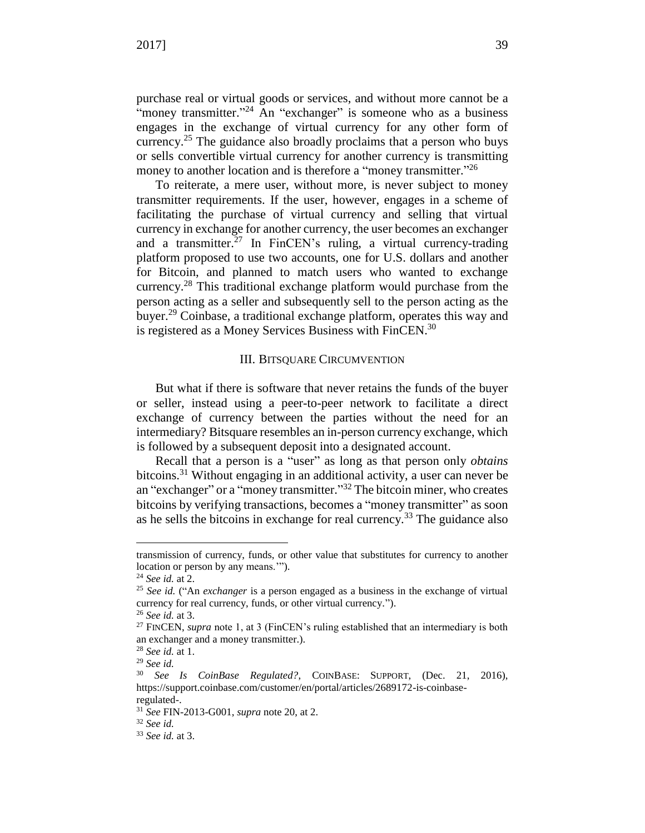purchase real or virtual goods or services, and without more cannot be a "money transmitter."<sup>24</sup> An "exchanger" is someone who as a business engages in the exchange of virtual currency for any other form of currency.<sup>25</sup> The guidance also broadly proclaims that a person who buys or sells convertible virtual currency for another currency is transmitting money to another location and is therefore a "money transmitter."<sup>26</sup>

To reiterate, a mere user, without more, is never subject to money transmitter requirements. If the user, however, engages in a scheme of facilitating the purchase of virtual currency and selling that virtual currency in exchange for another currency, the user becomes an exchanger and a transmitter.<sup>27</sup> In FinCEN's ruling, a virtual currency-trading platform proposed to use two accounts, one for U.S. dollars and another for Bitcoin, and planned to match users who wanted to exchange currency.<sup>28</sup> This traditional exchange platform would purchase from the person acting as a seller and subsequently sell to the person acting as the buyer.<sup>29</sup> Coinbase, a traditional exchange platform, operates this way and is registered as a Money Services Business with FinCEN.<sup>30</sup>

# III. BITSQUARE CIRCUMVENTION

But what if there is software that never retains the funds of the buyer or seller, instead using a peer-to-peer network to facilitate a direct exchange of currency between the parties without the need for an intermediary? Bitsquare resembles an in-person currency exchange, which is followed by a subsequent deposit into a designated account.

Recall that a person is a "user" as long as that person only *obtains* bitcoins.<sup>31</sup> Without engaging in an additional activity, a user can never be an "exchanger" or a "money transmitter."<sup>32</sup> The bitcoin miner, who creates bitcoins by verifying transactions, becomes a "money transmitter" as soon as he sells the bitcoins in exchange for real currency.<sup>33</sup> The guidance also

transmission of currency, funds, or other value that substitutes for currency to another location or person by any means.'").

<sup>24</sup> *See id.* at 2.

<sup>25</sup> *See id.* ("An *exchanger* is a person engaged as a business in the exchange of virtual currency for real currency, funds, or other virtual currency.").

<sup>26</sup> *See id.* at 3.

<sup>&</sup>lt;sup>27</sup> FINCEN, *supra* note 1, at 3 (FinCEN's ruling established that an intermediary is both an exchanger and a money transmitter.).

<sup>28</sup> *See id.* at 1.

<sup>29</sup> *See id.*

<sup>30</sup> *See Is CoinBase Regulated?*, COINBASE: SUPPORT, (Dec. 21, 2016), https://support.coinbase.com/customer/en/portal/articles/2689172-is-coinbaseregulated-.

<sup>31</sup> *See* FIN-2013-G001, *supra* note 20, at 2.

<sup>32</sup> *See id.*

<sup>33</sup> *See id.* at 3.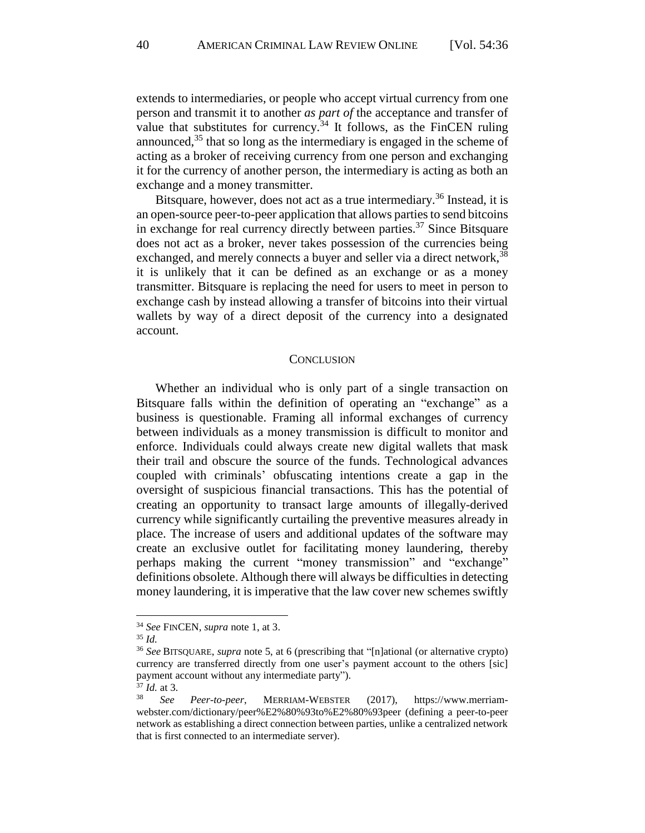extends to intermediaries, or people who accept virtual currency from one person and transmit it to another *as part of* the acceptance and transfer of value that substitutes for currency.<sup>34</sup> It follows, as the FinCEN ruling announced,  $35$  that so long as the intermediary is engaged in the scheme of acting as a broker of receiving currency from one person and exchanging it for the currency of another person, the intermediary is acting as both an exchange and a money transmitter.

Bitsquare, however, does not act as a true intermediary.<sup>36</sup> Instead, it is an open-source peer-to-peer application that allows parties to send bitcoins in exchange for real currency directly between parties.<sup>37</sup> Since Bitsquare does not act as a broker, never takes possession of the currencies being exchanged, and merely connects a buyer and seller via a direct network,<sup>38</sup> it is unlikely that it can be defined as an exchange or as a money transmitter. Bitsquare is replacing the need for users to meet in person to exchange cash by instead allowing a transfer of bitcoins into their virtual wallets by way of a direct deposit of the currency into a designated account.

#### **CONCLUSION**

Whether an individual who is only part of a single transaction on Bitsquare falls within the definition of operating an "exchange" as a business is questionable. Framing all informal exchanges of currency between individuals as a money transmission is difficult to monitor and enforce. Individuals could always create new digital wallets that mask their trail and obscure the source of the funds. Technological advances coupled with criminals' obfuscating intentions create a gap in the oversight of suspicious financial transactions. This has the potential of creating an opportunity to transact large amounts of illegally-derived currency while significantly curtailing the preventive measures already in place. The increase of users and additional updates of the software may create an exclusive outlet for facilitating money laundering, thereby perhaps making the current "money transmission" and "exchange" definitions obsolete. Although there will always be difficulties in detecting money laundering, it is imperative that the law cover new schemes swiftly

<sup>34</sup> *See* FINCEN, *supra* note 1, at 3.

<sup>35</sup> *Id.*

<sup>36</sup> *See* BITSQUARE, *supra* note 5, at 6 (prescribing that "[n]ational (or alternative crypto) currency are transferred directly from one user's payment account to the others [sic] payment account without any intermediate party").

 $\frac{37}{38}$  *Id.* at 3.

<sup>38</sup> *See Peer-to-peer*, MERRIAM-WEBSTER (2017), https://www.merriamwebster.com/dictionary/peer%E2%80%93to%E2%80%93peer (defining a peer-to-peer network as establishing a direct connection between parties, unlike a centralized network that is first connected to an intermediate server).